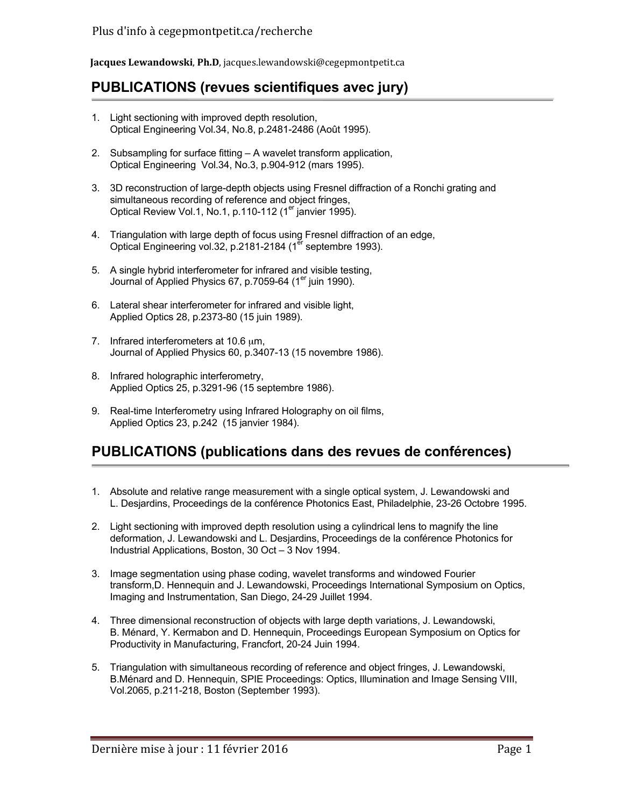**Jacques Lewandowski**, **Ph.D**, jacques.lewandowski@cegepmontpetit.ca 

# **PUBLICATIONS (revues scientifiques avec jury)**

- 1. Light sectioning with improved depth resolution, Optical Engineering Vol.34, No.8, p.2481-2486 (Août 1995).
- 2. Subsampling for surface fitting A wavelet transform application, Optical Engineering Vol.34, No.3, p.904-912 (mars 1995).
- 3. 3D reconstruction of large-depth objects using Fresnel diffraction of a Ronchi grating and simultaneous recording of reference and object fringes, Optical Review Vol.1, No.1, p.110-112 (1<sup>er</sup> janvier 1995).
- 4. Triangulation with large depth of focus using Fresnel diffraction of an edge, Optical Engineering vol.32, p.2181-2184 (1<sup>er</sup> septembre 1993).
- 5. A single hybrid interferometer for infrared and visible testing, Journal of Applied Physics 67, p.7059-64 (1<sup>er</sup> juin 1990).
- 6. Lateral shear interferometer for infrared and visible light, Applied Optics 28, p.2373-80 (15 juin 1989).
- 7. Infrared interferometers at 10.6  $\mu$ m, Journal of Applied Physics 60, p.3407-13 (15 novembre 1986).
- 8. Infrared holographic interferometry, Applied Optics 25, p.3291-96 (15 septembre 1986).
- 9. Real-time Interferometry using Infrared Holography on oil films, Applied Optics 23, p.242 (15 janvier 1984).

# **PUBLICATIONS (publications dans des revues de conférences)**

- 1. Absolute and relative range measurement with a single optical system, J. Lewandowski and L. Desjardins, Proceedings de la conférence Photonics East, Philadelphie, 23-26 Octobre 1995.
- 2. Light sectioning with improved depth resolution using a cylindrical lens to magnify the line deformation, J. Lewandowski and L. Desjardins, Proceedings de la conférence Photonics for Industrial Applications, Boston, 30 Oct – 3 Nov 1994.
- 3. Image segmentation using phase coding, wavelet transforms and windowed Fourier transform,D. Hennequin and J. Lewandowski, Proceedings International Symposium on Optics, Imaging and Instrumentation, San Diego, 24-29 Juillet 1994.
- 4. Three dimensional reconstruction of objects with large depth variations, J. Lewandowski, B. Ménard, Y. Kermabon and D. Hennequin, Proceedings European Symposium on Optics for Productivity in Manufacturing, Francfort, 20-24 Juin 1994.
- 5. Triangulation with simultaneous recording of reference and object fringes, J. Lewandowski, B.Ménard and D. Hennequin, SPIE Proceedings: Optics, Illumination and Image Sensing VIII, Vol.2065, p.211-218, Boston (September 1993).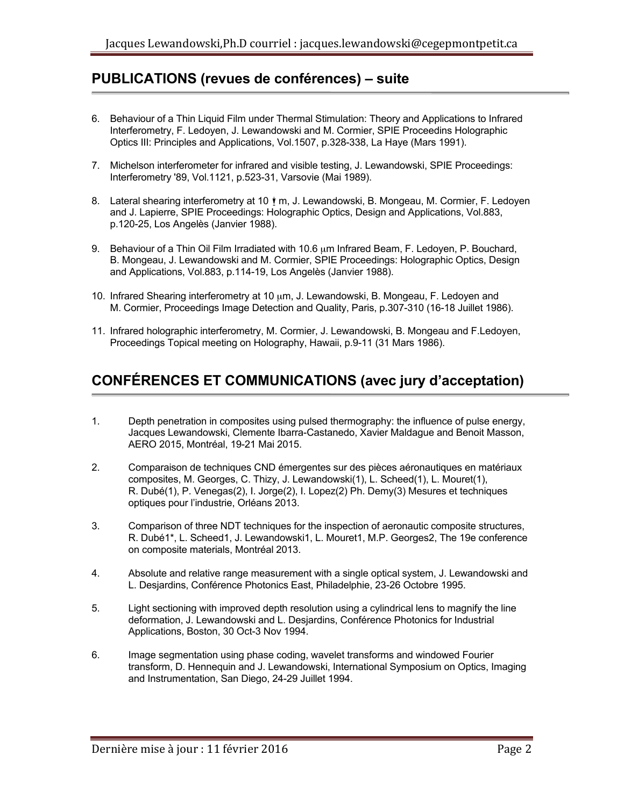#### **PUBLICATIONS (revues de conférences) – suite**

- 6. Behaviour of a Thin Liquid Film under Thermal Stimulation: Theory and Applications to Infrared Interferometry, F. Ledoyen, J. Lewandowski and M. Cormier, SPIE Proceedins Holographic Optics III: Principles and Applications, Vol.1507, p.328-338, La Haye (Mars 1991).
- 7. Michelson interferometer for infrared and visible testing, J. Lewandowski, SPIE Proceedings: Interferometry '89, Vol.1121, p.523-31, Varsovie (Mai 1989).
- 8. Lateral shearing interferometry at 10  $\mu$  m, J. Lewandowski, B. Mongeau, M. Cormier, F. Ledoyen and J. Lapierre, SPIE Proceedings: Holographic Optics, Design and Applications, Vol.883, p.120-25, Los Angelès (Janvier 1988).
- 9. Behaviour of a Thin Oil Film Irradiated with 10.6 um Infrared Beam, F. Ledoyen, P. Bouchard, B. Mongeau, J. Lewandowski and M. Cormier, SPIE Proceedings: Holographic Optics, Design and Applications, Vol.883, p.114-19, Los Angelès (Janvier 1988).
- 10. Infrared Shearing interferometry at 10 µm, J. Lewandowski, B. Mongeau, F. Ledoyen and M. Cormier, Proceedings Image Detection and Quality, Paris, p.307-310 (16-18 Juillet 1986).
- 11. Infrared holographic interferometry, M. Cormier, J. Lewandowski, B. Mongeau and F.Ledoyen, Proceedings Topical meeting on Holography, Hawaii, p.9-11 (31 Mars 1986).

### **CONFÉRENCES ET COMMUNICATIONS (avec jury d'acceptation)**

- 1. Depth penetration in composites using pulsed thermography: the influence of pulse energy, Jacques Lewandowski, Clemente Ibarra-Castanedo, Xavier Maldague and Benoit Masson, AERO 2015, Montréal, 19-21 Mai 2015.
- 2. Comparaison de techniques CND émergentes sur des pièces aéronautiques en matériaux composites, M. Georges, C. Thizy, J. Lewandowski(1), L. Scheed(1), L. Mouret(1), R. Dubé(1), P. Venegas(2), I. Jorge(2), I. Lopez(2) Ph. Demy(3) Mesures et techniques optiques pour l'industrie, Orléans 2013.
- 3. Comparison of three NDT techniques for the inspection of aeronautic composite structures, R. Dubé1\*, L. Scheed1, J. Lewandowski1, L. Mouret1, M.P. Georges2, The 19e conference on composite materials, Montréal 2013.
- 4. Absolute and relative range measurement with a single optical system, J. Lewandowski and L. Desjardins, Conférence Photonics East, Philadelphie, 23-26 Octobre 1995.
- 5. Light sectioning with improved depth resolution using a cylindrical lens to magnify the line deformation, J. Lewandowski and L. Desjardins, Conférence Photonics for Industrial Applications, Boston, 30 Oct-3 Nov 1994.
- 6. Image segmentation using phase coding, wavelet transforms and windowed Fourier transform, D. Hennequin and J. Lewandowski, International Symposium on Optics, Imaging and Instrumentation, San Diego, 24-29 Juillet 1994.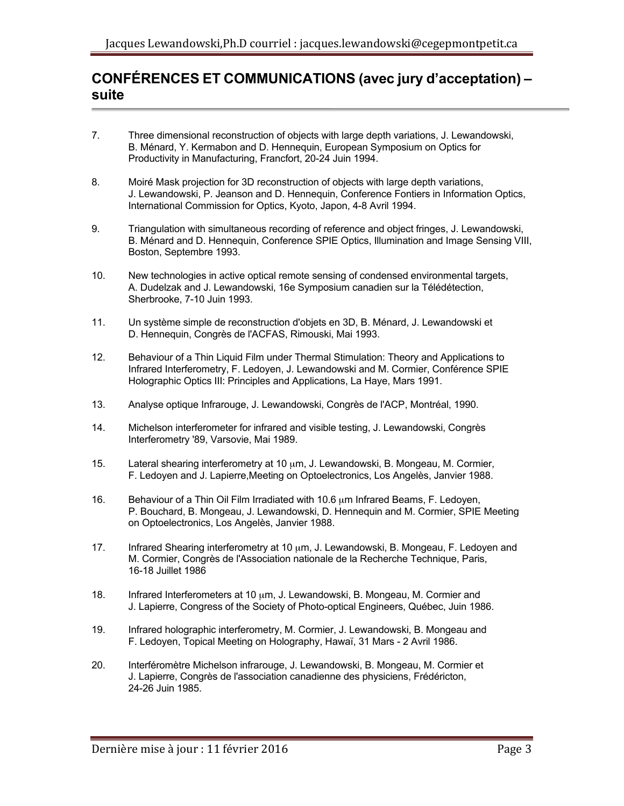# **CONFÉRENCES ET COMMUNICATIONS (avec jury d'acceptation) – suite**

- 7. Three dimensional reconstruction of objects with large depth variations, J. Lewandowski, B. Ménard, Y. Kermabon and D. Hennequin, European Symposium on Optics for Productivity in Manufacturing, Francfort, 20-24 Juin 1994.
- 8. Moiré Mask projection for 3D reconstruction of objects with large depth variations, J. Lewandowski, P. Jeanson and D. Hennequin, Conference Fontiers in Information Optics, International Commission for Optics, Kyoto, Japon, 4-8 Avril 1994.
- 9. Triangulation with simultaneous recording of reference and object fringes, J. Lewandowski, B. Ménard and D. Hennequin, Conference SPIE Optics, Illumination and Image Sensing VIII, Boston, Septembre 1993.
- 10. New technologies in active optical remote sensing of condensed environmental targets, A. Dudelzak and J. Lewandowski, 16e Symposium canadien sur la Télédétection, Sherbrooke, 7-10 Juin 1993.
- 11. Un système simple de reconstruction d'objets en 3D, B. Ménard, J. Lewandowski et D. Hennequin, Congrès de l'ACFAS, Rimouski, Mai 1993.
- 12. Behaviour of a Thin Liquid Film under Thermal Stimulation: Theory and Applications to Infrared Interferometry, F. Ledoyen, J. Lewandowski and M. Cormier, Conférence SPIE Holographic Optics III: Principles and Applications, La Haye, Mars 1991.
- 13. Analyse optique Infrarouge, J. Lewandowski, Congrès de l'ACP, Montréal, 1990.
- 14. Michelson interferometer for infrared and visible testing, J. Lewandowski, Congrès Interferometry '89, Varsovie, Mai 1989.
- 15. Lateral shearing interferometry at 10 µm, J. Lewandowski, B. Mongeau, M. Cormier, F. Ledoyen and J. Lapierre,Meeting on Optoelectronics, Los Angelès, Janvier 1988.
- 16. Behaviour of a Thin Oil Film Irradiated with 10.6 µm Infrared Beams, F. Ledoyen, P. Bouchard, B. Mongeau, J. Lewandowski, D. Hennequin and M. Cormier, SPIE Meeting on Optoelectronics, Los Angelès, Janvier 1988.
- 17. Infrared Shearing interferometry at 10 µm, J. Lewandowski, B. Mongeau, F. Ledoyen and M. Cormier, Congrès de l'Association nationale de la Recherche Technique, Paris, 16-18 Juillet 1986
- 18. Infrared Interferometers at 10 µm, J. Lewandowski, B. Mongeau, M. Cormier and J. Lapierre, Congress of the Society of Photo-optical Engineers, Québec, Juin 1986.
- 19. Infrared holographic interferometry, M. Cormier, J. Lewandowski, B. Mongeau and F. Ledoyen, Topical Meeting on Holography, Hawaï, 31 Mars - 2 Avril 1986.
- 20. Interféromètre Michelson infrarouge, J. Lewandowski, B. Mongeau, M. Cormier et J. Lapierre, Congrès de l'association canadienne des physiciens, Frédéricton, 24-26 Juin 1985.